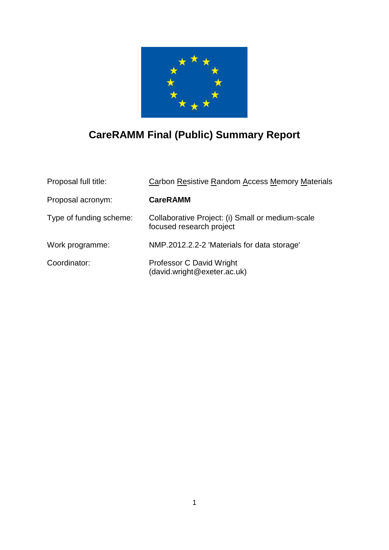

# **CareRAMM Final (Public) Summary Report**

| Proposal full title:    | Carbon Resistive Random Access Memory Materials                              |  |
|-------------------------|------------------------------------------------------------------------------|--|
| Proposal acronym:       | <b>CareRAMM</b>                                                              |  |
| Type of funding scheme: | Collaborative Project: (i) Small or medium-scale<br>focused research project |  |
| Work programme:         | NMP.2012.2.2-2 'Materials for data storage'                                  |  |
| Coordinator:            | Professor C David Wright<br>(david.wright@exeter.ac.uk)                      |  |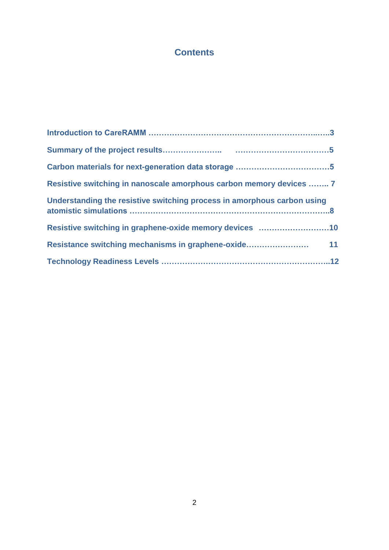# **Contents**

| Resistive switching in nanoscale amorphous carbon memory devices  7     |  |
|-------------------------------------------------------------------------|--|
| Understanding the resistive switching process in amorphous carbon using |  |
| Resistive switching in graphene-oxide memory devices 10                 |  |
|                                                                         |  |
|                                                                         |  |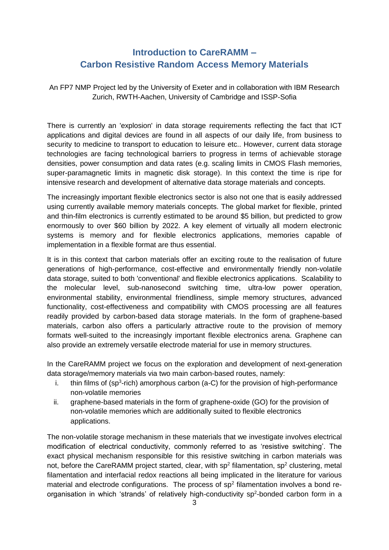# **Introduction to CareRAMM – Carbon Resistive Random Access Memory Materials**

An FP7 NMP Project led by the University of Exeter and in collaboration with IBM Research Zurich, RWTH-Aachen, University of Cambridge and ISSP-Sofia

There is currently an 'explosion' in data storage requirements reflecting the fact that ICT applications and digital devices are found in all aspects of our daily life, from business to security to medicine to transport to education to leisure etc.. However, current data storage technologies are facing technological barriers to progress in terms of achievable storage densities, power consumption and data rates (e.g. scaling limits in CMOS Flash memories, super-paramagnetic limits in magnetic disk storage). In this context the time is ripe for intensive research and development of alternative data storage materials and concepts.

The increasingly important flexible electronics sector is also not one that is easily addressed using currently available memory materials concepts. The global market for flexible, printed and thin-film electronics is currently estimated to be around \$5 billion, but predicted to grow enormously to over \$60 billion by 2022. A key element of virtually all modern electronic systems is memory and for flexible electronics applications, memories capable of implementation in a flexible format are thus essential.

It is in this context that carbon materials offer an exciting route to the realisation of future generations of high-performance, cost-effective and environmentally friendly non-volatile data storage, suited to both 'conventional' and flexible electronics applications. Scalability to the molecular level, sub-nanosecond switching time, ultra-low power operation, environmental stability, environmental friendliness, simple memory structures, advanced functionality, cost-effectiveness and compatibility with CMOS processing are all features readily provided by carbon-based data storage materials. In the form of graphene-based materials, carbon also offers a particularly attractive route to the provision of memory formats well-suited to the increasingly important flexible electronics arena. Graphene can also provide an extremely versatile electrode material for use in memory structures.

In the CareRAMM project we focus on the exploration and development of next-generation data storage/memory materials via two main carbon-based routes, namely:

- i. thin films of  $(sp^3\text{-rich})$  amorphous carbon (a-C) for the provision of high-performance non-volatile memories
- ii. graphene-based materials in the form of graphene-oxide (GO) for the provision of non-volatile memories which are additionally suited to flexible electronics applications.

The non-volatile storage mechanism in these materials that we investigate involves electrical modification of electrical conductivity, commonly referred to as 'resistive switching'. The exact physical mechanism responsible for this resistive switching in carbon materials was not, before the CareRAMM project started, clear, with  $sp^2$  filamentation,  $sp^2$  clustering, metal filamentation and interfacial redox reactions all being implicated in the literature for various material and electrode configurations. The process of  $sp<sup>2</sup>$  filamentation involves a bond reorganisation in which 'strands' of relatively high-conductivity sp<sup>2</sup>-bonded carbon form in a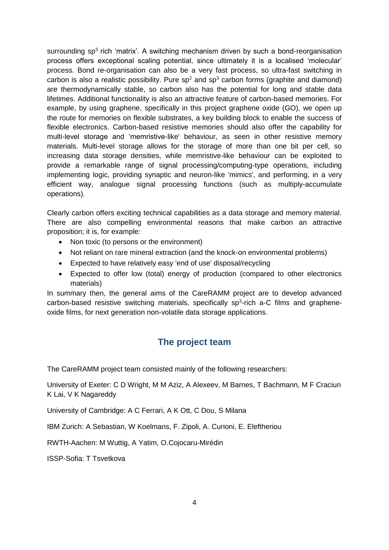surrounding sp<sup>3</sup> rich 'matrix'. A switching mechanism driven by such a bond-reorganisation process offers exceptional scaling potential, since ultimately it is a localised 'molecular' process. Bond re-organisation can also be a very fast process, so ultra-fast switching in carbon is also a realistic possibility. Pure  $sp<sup>2</sup>$  and  $sp<sup>3</sup>$  carbon forms (graphite and diamond) are thermodynamically stable, so carbon also has the potential for long and stable data lifetimes. Additional functionality is also an attractive feature of carbon-based memories. For example, by using graphene, specifically in this project graphene oxide (GO), we open up the route for memories on flexible substrates, a key building block to enable the success of flexible electronics. Carbon-based resistive memories should also offer the capability for multi-level storage and 'memristive-like' behaviour, as seen in other resistive memory materials. Multi-level storage allows for the storage of more than one bit per cell, so increasing data storage densities, while memristive-like behaviour can be exploited to provide a remarkable range of signal processing/computing-type operations, including implementing logic, providing synaptic and neuron-like 'mimics', and performing, in a very efficient way, analogue signal processing functions (such as multiply-accumulate operations).

Clearly carbon offers exciting technical capabilities as a data storage and memory material. There are also compelling environmental reasons that make carbon an attractive proposition; it is, for example:

- Non toxic (to persons or the environment)
- Not reliant on rare mineral extraction (and the knock-on environmental problems)
- Expected to have relatively easy 'end of use' disposal/recycling
- Expected to offer low (total) energy of production (compared to other electronics materials)

In summary then, the general aims of the CareRAMM project are to develop advanced carbon-based resistive switching materials, specifically  $sp<sup>3</sup>$ -rich a-C films and grapheneoxide films, for next generation non-volatile data storage applications.

### **The project team**

The CareRAMM project team consisted mainly of the following researchers:

University of Exeter: C D Wright, M M Aziz, A Alexeev, M Barnes, T Bachmann, M F Craciun K Lai, V K Nagareddy

University of Cambridge: A C Ferrari, A K Ott, C Dou, S Milana

IBM Zurich: A Sebastian, W Koelmans, F. Zipoli, A. Curioni, E. Eleftheriou

RWTH-Aachen: M Wuttig, A Yatim, O.Cojocaru-Mirédin

ISSP-Sofia: T Tsvetkova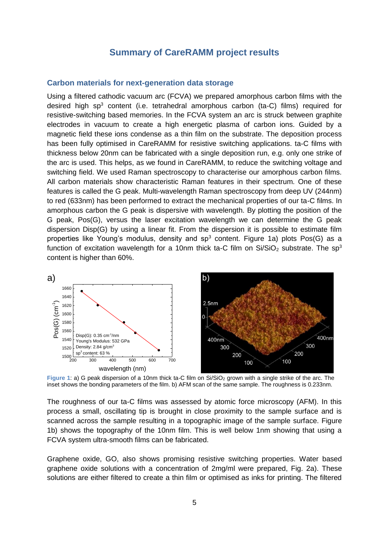### **Summary of CareRAMM project results**

#### **Carbon materials for next-generation data storage**

Using a filtered cathodic vacuum arc (FCVA) we prepared amorphous carbon films with the desired high sp<sup>3</sup> content (i.e. tetrahedral amorphous carbon (ta-C) films) required for resistive-switching based memories. In the FCVA system an arc is struck between graphite electrodes in vacuum to create a high energetic plasma of carbon ions. Guided by a magnetic field these ions condense as a thin film on the substrate. The deposition process has been fully optimised in CareRAMM for resistive switching applications. ta-C films with thickness below 20nm can be fabricated with a single deposition run, e.g. only one strike of the arc is used. This helps, as we found in CareRAMM, to reduce the switching voltage and switching field. We used Raman spectroscopy to characterise our amorphous carbon films. All carbon materials show characteristic Raman features in their spectrum. One of these features is called the G peak. Multi-wavelength Raman spectroscopy from deep UV (244nm) to red (633nm) has been performed to extract the mechanical properties of our ta-C films. In amorphous carbon the G peak is dispersive with wavelength. By plotting the position of the G peak, Pos(G), versus the laser excitation wavelength we can determine the G peak dispersion Disp(G) by using a linear fit. From the dispersion it is possible to estimate film properties like Young's modulus, density and  $sp<sup>3</sup>$  content. Figure 1a) plots Pos(G) as a function of excitation wavelength for a 10nm thick ta-C film on  $Si/SiO<sub>2</sub>$  substrate. The sp<sup>3</sup> content is higher than 60%.



**Figure 1: a)** G peak dispersion of a 10nm thick ta-C film on Si/SiO<sub>2</sub> grown with a single strike of the arc. The inset shows the bonding parameters of the film. b) AFM scan of the same sample. The roughness is 0.233nm.

The roughness of our ta-C films was assessed by atomic force microscopy (AFM). In this process a small, oscillating tip is brought in close proximity to the sample surface and is scanned across the sample resulting in a topographic image of the sample surface. Figure 1b) shows the topography of the 10nm film. This is well below 1nm showing that using a FCVA system ultra-smooth films can be fabricated.

Graphene oxide, GO, also shows promising resistive switching properties. Water based graphene oxide solutions with a concentration of 2mg/ml were prepared, Fig. 2a). These solutions are either filtered to create a thin film or optimised as inks for printing. The filtered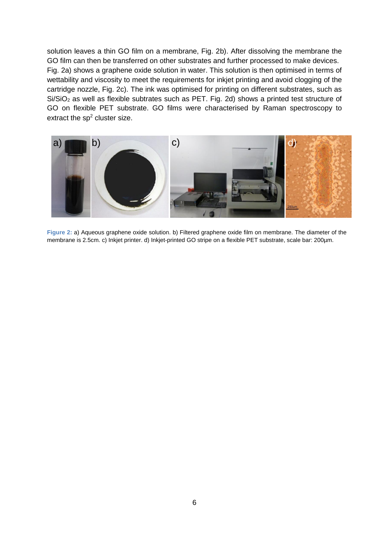solution leaves a thin GO film on a membrane, Fig. 2b). After dissolving the membrane the GO film can then be transferred on other substrates and further processed to make devices. Fig. 2a) shows a graphene oxide solution in water. This solution is then optimised in terms of wettability and viscosity to meet the requirements for inkjet printing and avoid clogging of the cartridge nozzle, Fig. 2c). The ink was optimised for printing on different substrates, such as  $Si/SiO<sub>2</sub>$  as well as flexible subtrates such as PET. Fig. 2d) shows a printed test structure of GO on flexible PET substrate. GO films were characterised by Raman spectroscopy to extract the sp<sup>2</sup> cluster size.



**Figure 2:** a) Aqueous graphene oxide solution. b) Filtered graphene oxide film on membrane. The diameter of the membrane is 2.5cm. c) Inkjet printer. d) Inkjet-printed GO stripe on a flexible PET substrate, scale bar: 200µm.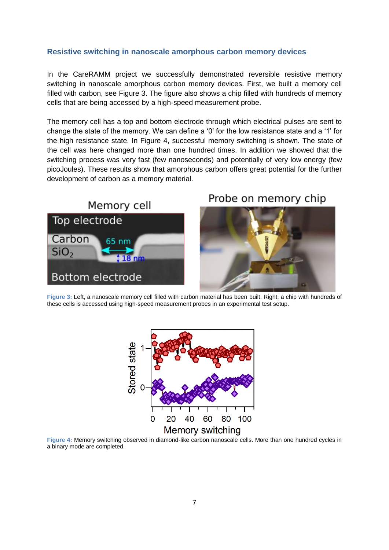#### **Resistive switching in nanoscale amorphous carbon memory devices**

In the CareRAMM project we successfully demonstrated reversible resistive memory switching in nanoscale amorphous carbon memory devices. First, we built a memory cell filled with carbon, see Figure 3. The figure also shows a chip filled with hundreds of memory cells that are being accessed by a high-speed measurement probe.

The memory cell has a top and bottom electrode through which electrical pulses are sent to change the state of the memory. We can define a '0' for the low resistance state and a '1' for the high resistance state. In Figure 4, successful memory switching is shown. The state of the cell was here changed more than one hundred times. In addition we showed that the switching process was very fast (few nanoseconds) and potentially of very low energy (few picoJoules). These results show that amorphous carbon offers great potential for the further development of carbon as a memory material.



# Probe on memory chip



**Figure 3:** Left, a nanoscale memory cell filled with carbon material has been built. Right, a chip with hundreds of these cells is accessed using high-speed measurement probes in an experimental test setup.



**Figure 4:** Memory switching observed in diamond-like carbon nanoscale cells. More than one hundred cycles in a binary mode are completed.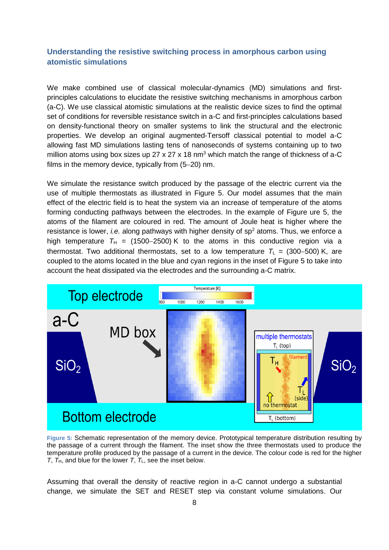### **Understanding the resistive switching process in amorphous carbon using atomistic simulations**

We make combined use of classical molecular-dynamics (MD) simulations and firstprinciples calculations to elucidate the resistive switching mechanisms in amorphous carbon (a-C). We use classical atomistic simulations at the realistic device sizes to find the optimal set of conditions for reversible resistance switch in a-C and first-principles calculations based on density-functional theory on smaller systems to link the structural and the electronic properties. We develop an original augmented-Tersoff classical potential to model a-C allowing fast MD simulations lasting tens of nanoseconds of systems containing up to two million atoms using box sizes up 27 x 27 x 18 nm<sup>3</sup> which match the range of thickness of a-C films in the memory device, typically from  $(5-20)$  nm.

We simulate the resistance switch produced by the passage of the electric current via the use of multiple thermostats as illustrated in Figure 5. Our model assumes that the main effect of the electric field is to heat the system via an increase of temperature of the atoms forming conducting pathways between the electrodes. In the example of [Figure](#page-7-0) ure 5, the atoms of the filament are coloured in red. The amount of Joule heat is higher where the resistance is lower, *i.e.* along pathways with higher density of sp<sup>2</sup> atoms. Thus, we enforce a high temperature  $T_H$  = (1500–2500) K to the atoms in this conductive region via a thermostat. Two additional thermostats, set to a low temperature  $T_L = (300-500)$  K, are coupled to the atoms located in the blue and cyan regions in the inset of Figure 5 to take into account the heat dissipated via the electrodes and the surrounding a-C matrix.



<span id="page-7-0"></span>**Figure 5:** Schematic representation of the memory device. Prototypical temperature distribution resulting by the passage of a current through the filament. The inset show the three thermostats used to produce the temperature profile produced by the passage of a current in the device. The colour code is red for the higher *T*,  $T_{H}$ , and blue for the lower *T*,  $T_{L}$ , see the inset below.

Assuming that overall the density of reactive region in a-C cannot undergo a substantial change, we simulate the SET and RESET step via constant volume simulations. Our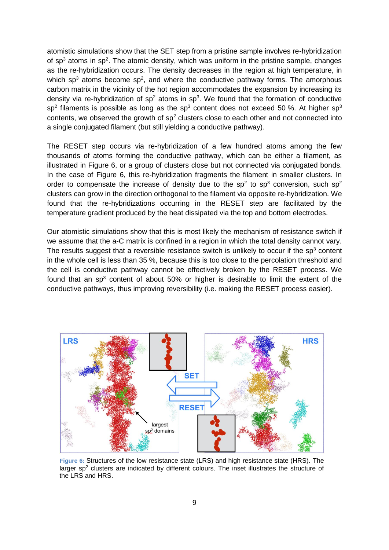atomistic simulations show that the SET step from a pristine sample involves re-hybridization of  $sp<sup>3</sup>$  atoms in  $sp<sup>2</sup>$ . The atomic density, which was uniform in the pristine sample, changes as the re-hybridization occurs. The density decreases in the region at high temperature, in which sp<sup>3</sup> atoms become sp<sup>2</sup>, and where the conductive pathway forms. The amorphous carbon matrix in the vicinity of the hot region accommodates the expansion by increasing its density via re-hybridization of  $sp<sup>2</sup>$  atoms in  $sp<sup>3</sup>$ . We found that the formation of conductive sp<sup>2</sup> filaments is possible as long as the sp<sup>3</sup> content does not exceed 50 %. At higher sp<sup>3</sup> contents, we observed the growth of  $sp<sup>2</sup>$  clusters close to each other and not connected into a single conjugated filament (but still yielding a conductive pathway).

The RESET step occurs via re-hybridization of a few hundred atoms among the few thousands of atoms forming the conductive pathway, which can be either a filament, as illustrated in Figure 6, or a group of clusters close but not connected via conjugated bonds. In the case of Figure 6, this re-hybridization fragments the filament in smaller clusters. In order to compensate the increase of density due to the sp<sup>2</sup> to sp<sup>3</sup> conversion, such sp<sup>2</sup> clusters can grow in the direction orthogonal to the filament via opposite re-hybridization. We found that the re-hybridizations occurring in the RESET step are facilitated by the temperature gradient produced by the heat dissipated via the top and bottom electrodes.

Our atomistic simulations show that this is most likely the mechanism of resistance switch if we assume that the a-C matrix is confined in a region in which the total density cannot vary. The results suggest that a reversible resistance switch is unlikely to occur if the  $sp<sup>3</sup>$  content in the whole cell is less than 35 %, because this is too close to the percolation threshold and the cell is conductive pathway cannot be effectively broken by the RESET process. We found that an  $sp<sup>3</sup>$  content of about 50% or higher is desirable to limit the extent of the conductive pathways, thus improving reversibility (i.e. making the RESET process easier).



**Figure 6:** Structures of the low resistance state (LRS) and high resistance state (HRS). The larger  $sp<sup>2</sup>$  clusters are indicated by different colours. The inset illustrates the structure of the LRS and HRS.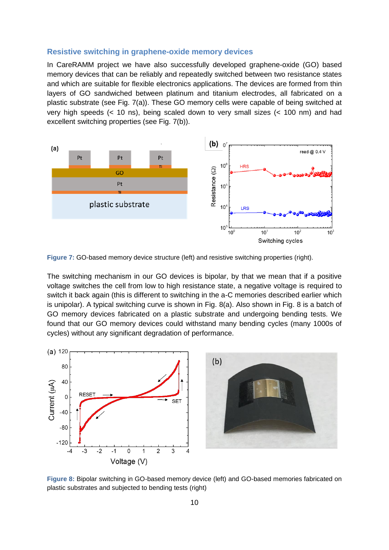#### **Resistive switching in graphene-oxide memory devices**

In CareRAMM project we have also successfully developed graphene-oxide (GO) based memory devices that can be reliably and repeatedly switched between two resistance states and which are suitable for flexible electronics applications. The devices are formed from thin layers of GO sandwiched between platinum and titanium electrodes, all fabricated on a plastic substrate (see Fig. 7(a)). These GO memory cells were capable of being switched at very high speeds (< 10 ns), being scaled down to very small sizes (< 100 nm) and had excellent switching properties (see Fig. 7(b)).



**Figure 7:** GO-based memory device structure (left) and resistive switching properties (right).

The switching mechanism in our GO devices is bipolar, by that we mean that if a positive voltage switches the cell from low to high resistance state, a negative voltage is required to switch it back again (this is different to switching in the a-C memories described earlier which is unipolar). A typical switching curve is shown in Fig. 8(a). Also shown in Fig. 8 is a batch of GO memory devices fabricated on a plastic substrate and undergoing bending tests. We found that our GO memory devices could withstand many bending cycles (many 1000s of cycles) without any significant degradation of performance.



**Figure 8:** Bipolar switching in GO-based memory device (left) and GO-based memories fabricated on plastic substrates and subjected to bending tests (right)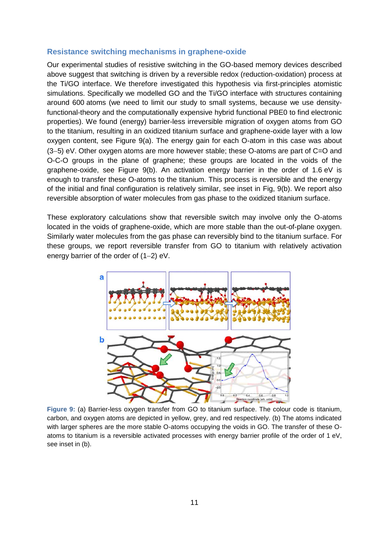#### **Resistance switching mechanisms in graphene-oxide**

Our experimental studies of resistive switching in the GO-based memory devices described above suggest that switching is driven by a reversible redox (reduction-oxidation) process at the Ti/GO interface. We therefore investigated this hypothesis via first-principles atomistic simulations. Specifically we modelled GO and the Ti/GO interface with structures containing around 600 atoms (we need to limit our study to small systems, because we use densityfunctional-theory and the computationally expensive hybrid functional PBE0 to find electronic properties). We found (energy) barrier-less irreversible migration of oxygen atoms from GO to the titanium, resulting in an oxidized titanium surface and graphene-oxide layer with a low oxygen content, see Figure 9(a). The energy gain for each O-atom in this case was about  $(3-5)$  eV. Other oxygen atoms are more however stable; these O-atoms are part of C=O and O-C-O groups in the plane of graphene; these groups are located in the voids of the graphene-oxide, see Figure 9(b). An activation energy barrier in the order of 1.6 eV is enough to transfer these O-atoms to the titanium. This process is reversible and the energy of the initial and final configuration is relatively similar, see inset in Fig, 9(b). We report also reversible absorption of water molecules from gas phase to the oxidized titanium surface.

These exploratory calculations show that reversible switch may involve only the O-atoms located in the voids of graphene-oxide, which are more stable than the out-of-plane oxygen. Similarly water molecules from the gas phase can reversibly bind to the titanium surface. For these groups, we report reversible transfer from GO to titanium with relatively activation energy barrier of the order of  $(1-2)$  eV.



**Figure 9:** (a) Barrier-less oxygen transfer from GO to titanium surface. The colour code is titanium, carbon, and oxygen atoms are depicted in yellow, grey, and red respectively. (b) The atoms indicated with larger spheres are the more stable O-atoms occupying the voids in GO. The transfer of these Oatoms to titanium is a reversible activated processes with energy barrier profile of the order of 1 eV, see inset in (b).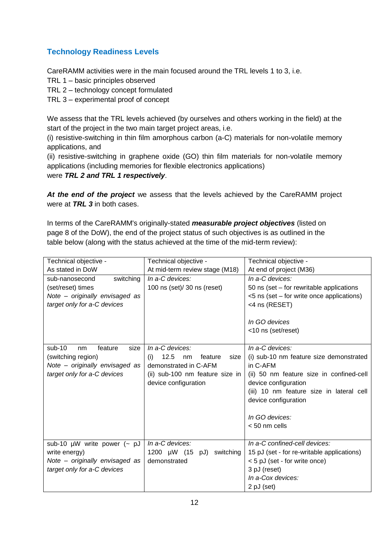### **Technology Readiness Levels**

CareRAMM activities were in the main focused around the TRL levels 1 to 3, i.e.

- TRL 1 basic principles observed
- TRL 2 technology concept formulated
- TRL 3 experimental proof of concept

We assess that the TRL levels achieved (by ourselves and others working in the field) at the start of the project in the two main target project areas, i.e.

(i) resistive-switching in thin film amorphous carbon (a-C) materials for non-volatile memory applications, and

(ii) resistive-switching in graphene oxide (GO) thin film materials for non-volatile memory applications (including memories for flexible electronics applications)

were *TRL 2 and TRL 1 respectively*.

*At the end of the project* we assess that the levels achieved by the CareRAMM project were at *TRL 3* in both cases.

In terms of the CareRAMM's originally-stated *measurable project objectives* (listed on page 8 of the DoW), the end of the project status of such objectives is as outlined in the table below (along with the status achieved at the time of the mid-term review):

| Technical objective -             | Technical objective -                | Technical objective -                      |
|-----------------------------------|--------------------------------------|--------------------------------------------|
| As stated in DoW                  |                                      |                                            |
|                                   | At mid-term review stage (M18)       | At end of project (M36)                    |
| switching<br>sub-nanosecond       | In a-C devices:                      | In a-C devices:                            |
| (set/reset) times                 | 100 ns (set)/ 30 ns (reset)          | 50 ns (set – for rewritable applications   |
| Note – originally envisaged as    |                                      | <5 ns (set – for write once applications)  |
| target only for a-C devices       |                                      | <4 ns (RESET)                              |
|                                   |                                      |                                            |
|                                   |                                      | In GO devices                              |
|                                   |                                      | <10 ns (set/reset)                         |
|                                   |                                      |                                            |
| $sub-10$<br>feature<br>size<br>nm | In a-C devices:                      | In a-C devices:                            |
| (switching region)                | 12.5<br>(i)<br>feature<br>size<br>nm | (i) sub-10 nm feature size demonstrated    |
| Note - originally envisaged as    | demonstrated in C-AFM                | in C-AFM                                   |
| target only for a-C devices       | (ii) sub-100 nm feature size in      | (ii) 50 nm feature size in confined-cell   |
|                                   | device configuration                 | device configuration                       |
|                                   |                                      |                                            |
|                                   |                                      | (iii) 10 nm feature size in lateral cell   |
|                                   |                                      | device configuration                       |
|                                   |                                      |                                            |
|                                   |                                      | In GO devices:                             |
|                                   |                                      | < 50 nm cells                              |
|                                   |                                      |                                            |
| sub-10 $\mu$ W write power (~ pJ  | In a-C devices:                      | In a-C confined-cell devices:              |
| write energy)                     | 1200 µW (15<br>switching<br>pJ)      | 15 pJ (set - for re-writable applications) |
| Note – originally envisaged as    | demonstrated                         | < 5 pJ (set - for write once)              |
| target only for a-C devices       |                                      | 3 pJ (reset)                               |
|                                   |                                      | In a-Cox devices:                          |
|                                   |                                      |                                            |
|                                   |                                      | 2 pJ (set)                                 |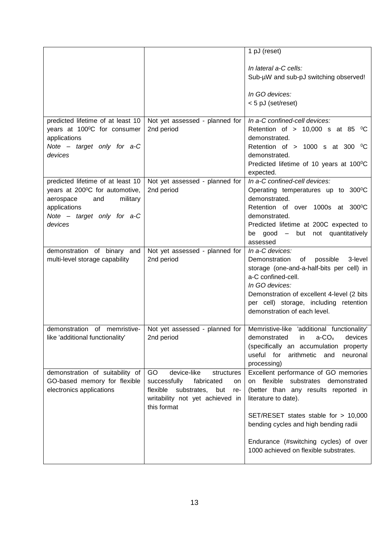|                                   |                                                | 1 pJ (reset)                                                                   |
|-----------------------------------|------------------------------------------------|--------------------------------------------------------------------------------|
|                                   |                                                |                                                                                |
|                                   |                                                | In lateral a-C cells:                                                          |
|                                   |                                                | Sub-µW and sub-pJ switching observed!                                          |
|                                   |                                                |                                                                                |
|                                   |                                                | In GO devices:                                                                 |
|                                   |                                                | < 5 pJ (set/reset)                                                             |
|                                   |                                                |                                                                                |
| predicted lifetime of at least 10 | Not yet assessed - planned for                 | In a-C confined-cell devices:                                                  |
| years at 100°C for consumer       | 2nd period                                     | Retention of > 10,000 s at 85 $^{\circ}$ C                                     |
| applications                      |                                                | demonstrated.                                                                  |
| Note - target only for a-C        |                                                | Retention of $> 1000$ s at 300 °C                                              |
| devices                           |                                                | demonstrated.                                                                  |
|                                   |                                                | Predicted lifetime of 10 years at 100°C                                        |
|                                   |                                                | expected.                                                                      |
| predicted lifetime of at least 10 | Not yet assessed - planned for                 | In a-C confined-cell devices:                                                  |
| years at 200°C for automotive,    | 2nd period                                     | Operating temperatures up to 300°C                                             |
| military<br>aerospace<br>and      |                                                | demonstrated.                                                                  |
| applications                      |                                                | Retention of over 1000s at 300°C                                               |
| Note $-$ target only for $a-C$    |                                                | demonstrated.                                                                  |
| devices                           |                                                | Predicted lifetime at 200C expected to                                         |
|                                   |                                                | be good – but not quantitatively                                               |
|                                   |                                                | assessed                                                                       |
| demonstration of binary and       | Not yet assessed - planned for                 | In a-C devices:                                                                |
| multi-level storage capability    | 2nd period                                     | 3-level<br>Demonstration<br>possible<br>of                                     |
|                                   |                                                | storage (one-and-a-half-bits per cell) in                                      |
|                                   |                                                | a-C confined-cell.                                                             |
|                                   |                                                | In GO devices:                                                                 |
|                                   |                                                | Demonstration of excellent 4-level (2 bits                                     |
|                                   |                                                | per cell) storage, including retention                                         |
|                                   |                                                | demonstration of each level.                                                   |
|                                   |                                                |                                                                                |
| demonstration of memristive-      | Not yet assessed - planned for                 | Memristive-like 'additional functionality'                                     |
| like 'additional functionality'   | 2nd period                                     | demonstrated in $a-CO_x$ devices                                               |
|                                   |                                                | (specifically an accumulation property                                         |
|                                   |                                                | useful for<br>arithmetic and neuronal                                          |
|                                   |                                                |                                                                                |
| demonstration of suitability of   | GO<br>device-like<br>structures                | processing)<br>Excellent performance of GO memories                            |
|                                   |                                                | on flexible substrates demonstrated                                            |
| GO-based memory for flexible      | successfully<br>fabricated<br>on               |                                                                                |
| electronics applications          | flexible<br>substrates,<br>but<br>re-          | (better than any results reported in                                           |
|                                   | writability not yet achieved in<br>this format | literature to date).                                                           |
|                                   |                                                |                                                                                |
|                                   |                                                | SET/RESET states stable for > 10,000                                           |
|                                   |                                                | bending cycles and high bending radii                                          |
|                                   |                                                |                                                                                |
|                                   |                                                | Endurance (#switching cycles) of over<br>1000 achieved on flexible substrates. |
|                                   |                                                |                                                                                |
|                                   |                                                |                                                                                |